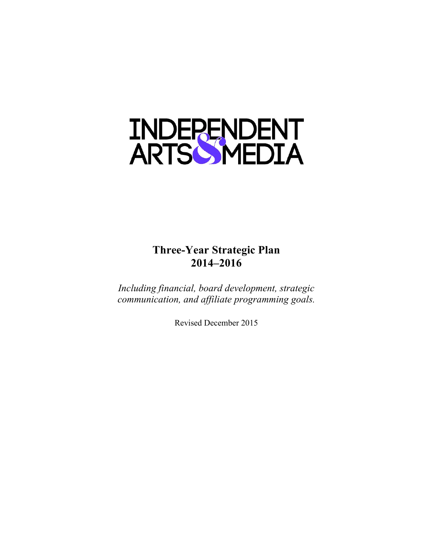

# **Three-Year Strategic Plan 2014–2016**

*Including financial, board development, strategic communication, and affiliate programming goals.*

Revised December 2015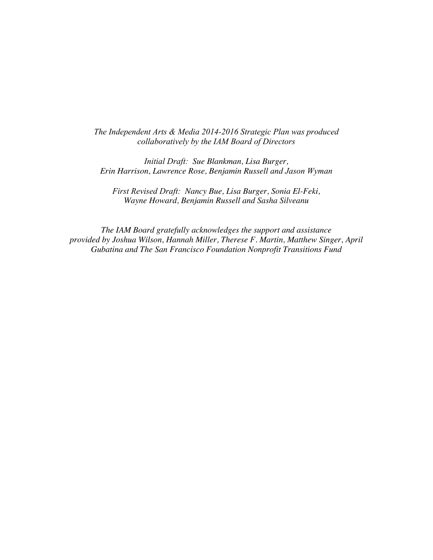*The Independent Arts & Media 2014-2016 Strategic Plan was produced collaboratively by the IAM Board of Directors*

*Initial Draft: Sue Blankman, Lisa Burger, Erin Harrison, Lawrence Rose, Benjamin Russell and Jason Wyman*

*First Revised Draft: Nancy Bue, Lisa Burger, Sonia El-Feki, Wayne Howard, Benjamin Russell and Sasha Silveanu*

*The IAM Board gratefully acknowledges the support and assistance provided by Joshua Wilson, Hannah Miller, Therese F. Martin, Matthew Singer, April Gubatina and The San Francisco Foundation Nonprofit Transitions Fund*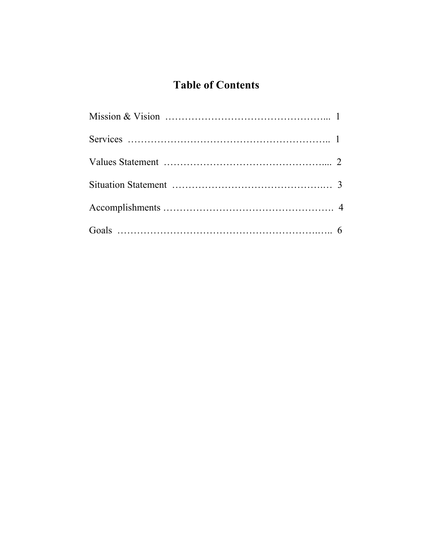# **Table of Contents**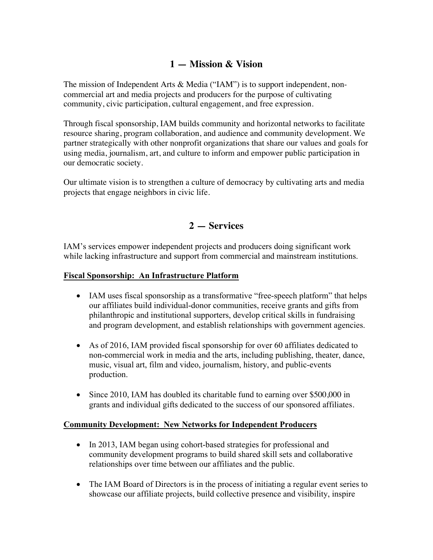# **1 — Mission & Vision**

The mission of Independent Arts & Media ("IAM") is to support independent, noncommercial art and media projects and producers for the purpose of cultivating community, civic participation, cultural engagement, and free expression.

Through fiscal sponsorship, IAM builds community and horizontal networks to facilitate resource sharing, program collaboration, and audience and community development. We partner strategically with other nonprofit organizations that share our values and goals for using media, journalism, art, and culture to inform and empower public participation in our democratic society.

Our ultimate vision is to strengthen a culture of democracy by cultivating arts and media projects that engage neighbors in civic life.

# **2 — Services**

IAM's services empower independent projects and producers doing significant work while lacking infrastructure and support from commercial and mainstream institutions.

#### **Fiscal Sponsorship: An Infrastructure Platform**

- IAM uses fiscal sponsorship as a transformative "free-speech platform" that helps our affiliates build individual-donor communities, receive grants and gifts from philanthropic and institutional supporters, develop critical skills in fundraising and program development, and establish relationships with government agencies.
- As of 2016, IAM provided fiscal sponsorship for over 60 affiliates dedicated to non-commercial work in media and the arts, including publishing, theater, dance, music, visual art, film and video, journalism, history, and public-events production.
- Since 2010, IAM has doubled its charitable fund to earning over \$500,000 in grants and individual gifts dedicated to the success of our sponsored affiliates.

#### **Community Development: New Networks for Independent Producers**

- In 2013, IAM began using cohort-based strategies for professional and community development programs to build shared skill sets and collaborative relationships over time between our affiliates and the public.
- The IAM Board of Directors is in the process of initiating a regular event series to showcase our affiliate projects, build collective presence and visibility, inspire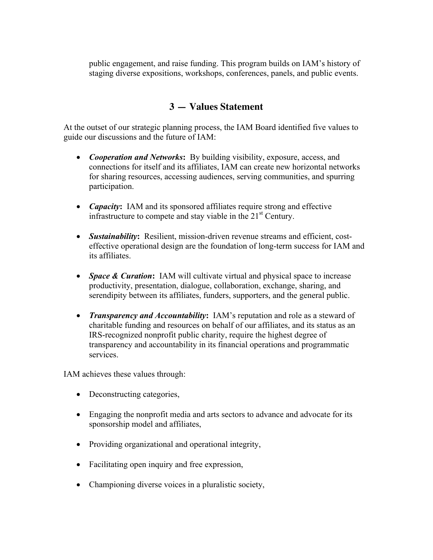public engagement, and raise funding. This program builds on IAM's history of staging diverse expositions, workshops, conferences, panels, and public events.

# **3 — Values Statement**

At the outset of our strategic planning process, the IAM Board identified five values to guide our discussions and the future of IAM:

- *Cooperation and Networks***:** By building visibility, exposure, access, and connections for itself and its affiliates, IAM can create new horizontal networks for sharing resources, accessing audiences, serving communities, and spurring participation.
- *Capacity***:** IAM and its sponsored affiliates require strong and effective infrastructure to compete and stay viable in the  $21<sup>st</sup>$  Century.
- *Sustainability***:** Resilient, mission-driven revenue streams and efficient, costeffective operational design are the foundation of long-term success for IAM and its affiliates.
- *Space & Curation*: IAM will cultivate virtual and physical space to increase productivity, presentation, dialogue, collaboration, exchange, sharing, and serendipity between its affiliates, funders, supporters, and the general public.
- *Transparency and Accountability***:** IAM's reputation and role as a steward of charitable funding and resources on behalf of our affiliates, and its status as an IRS-recognized nonprofit public charity, require the highest degree of transparency and accountability in its financial operations and programmatic services.

IAM achieves these values through:

- Deconstructing categories,
- Engaging the nonprofit media and arts sectors to advance and advocate for its sponsorship model and affiliates,
- Providing organizational and operational integrity,
- Facilitating open inquiry and free expression,
- Championing diverse voices in a pluralistic society,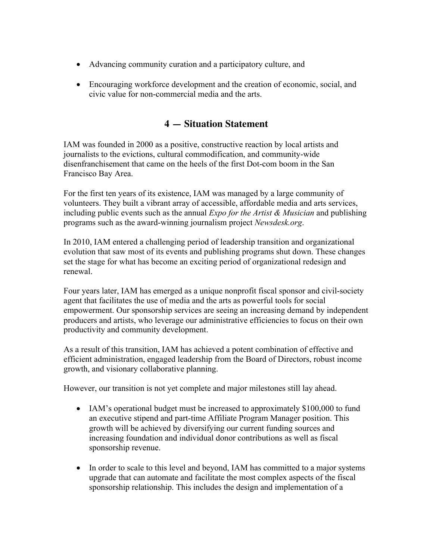- Advancing community curation and a participatory culture, and
- Encouraging workforce development and the creation of economic, social, and civic value for non-commercial media and the arts.

# **4 — Situation Statement**

IAM was founded in 2000 as a positive, constructive reaction by local artists and journalists to the evictions, cultural commodification, and community-wide disenfranchisement that came on the heels of the first Dot-com boom in the San Francisco Bay Area.

For the first ten years of its existence, IAM was managed by a large community of volunteers. They built a vibrant array of accessible, affordable media and arts services, including public events such as the annual *Expo for the Artist & Musician* and publishing programs such as the award-winning journalism project *Newsdesk.org*.

In 2010, IAM entered a challenging period of leadership transition and organizational evolution that saw most of its events and publishing programs shut down. These changes set the stage for what has become an exciting period of organizational redesign and renewal.

Four years later, IAM has emerged as a unique nonprofit fiscal sponsor and civil-society agent that facilitates the use of media and the arts as powerful tools for social empowerment. Our sponsorship services are seeing an increasing demand by independent producers and artists, who leverage our administrative efficiencies to focus on their own productivity and community development.

As a result of this transition, IAM has achieved a potent combination of effective and efficient administration, engaged leadership from the Board of Directors, robust income growth, and visionary collaborative planning.

However, our transition is not yet complete and major milestones still lay ahead.

- IAM's operational budget must be increased to approximately \$100,000 to fund an executive stipend and part-time Affiliate Program Manager position. This growth will be achieved by diversifying our current funding sources and increasing foundation and individual donor contributions as well as fiscal sponsorship revenue.
- In order to scale to this level and beyond, IAM has committed to a major systems upgrade that can automate and facilitate the most complex aspects of the fiscal sponsorship relationship. This includes the design and implementation of a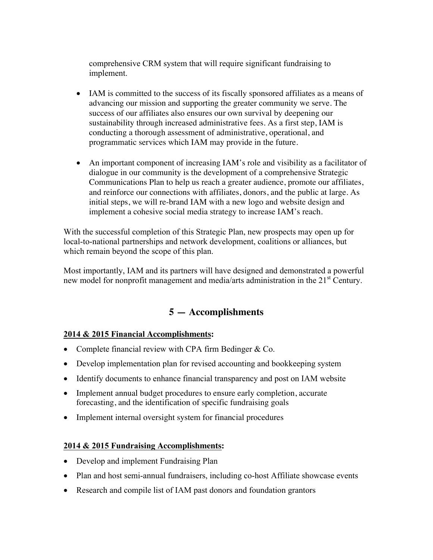comprehensive CRM system that will require significant fundraising to implement.

- IAM is committed to the success of its fiscally sponsored affiliates as a means of advancing our mission and supporting the greater community we serve. The success of our affiliates also ensures our own survival by deepening our sustainability through increased administrative fees. As a first step, IAM is conducting a thorough assessment of administrative, operational, and programmatic services which IAM may provide in the future.
- An important component of increasing IAM's role and visibility as a facilitator of dialogue in our community is the development of a comprehensive Strategic Communications Plan to help us reach a greater audience, promote our affiliates, and reinforce our connections with affiliates, donors, and the public at large. As initial steps, we will re-brand IAM with a new logo and website design and implement a cohesive social media strategy to increase IAM's reach.

With the successful completion of this Strategic Plan, new prospects may open up for local-to-national partnerships and network development, coalitions or alliances, but which remain beyond the scope of this plan.

Most importantly, IAM and its partners will have designed and demonstrated a powerful new model for nonprofit management and media/arts administration in the 21<sup>st</sup> Century.

# **5 — Accomplishments**

## **2014 & 2015 Financial Accomplishments:**

- Complete financial review with CPA firm Bedinger & Co.
- Develop implementation plan for revised accounting and bookkeeping system
- Identify documents to enhance financial transparency and post on IAM website
- Implement annual budget procedures to ensure early completion, accurate forecasting, and the identification of specific fundraising goals
- Implement internal oversight system for financial procedures

## **2014 & 2015 Fundraising Accomplishments:**

- Develop and implement Fundraising Plan
- Plan and host semi-annual fundraisers, including co-host Affiliate showcase events
- Research and compile list of IAM past donors and foundation grantors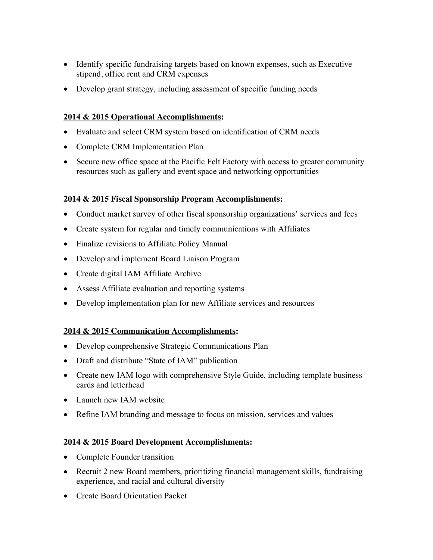- Identify specific fundraising targets based on known expenses, such as Executive stipend, office rent and CRM expenses
- Develop grant strategy, including assessment of specific funding needs

## **2014 & 2015 Operational Accomplishments:**

- Evaluate and select CRM system based on identification of CRM needs
- Complete CRM Implementation Plan
- Secure new office space at the Pacific Felt Factory with access to greater community resources such as gallery and event space and networking opportunities

## **2014 & 2015 Fiscal Sponsorship Program Accomplishments:**

- Conduct market survey of other fiscal sponsorship organizations' services and fees
- Create system for regular and timely communications with Affiliates
- Finalize revisions to Affiliate Policy Manual
- Develop and implement Board Liaison Program
- Create digital IAM Affiliate Archive
- Assess Affiliate evaluation and reporting systems
- Develop implementation plan for new Affiliate services and resources

## **2014 & 2015 Communication Accomplishments:**

- Develop comprehensive Strategic Communications Plan
- Draft and distribute "State of IAM" publication
- Create new IAM logo with comprehensive Style Guide, including template business cards and letterhead
- Launch new IAM website
- Refine IAM branding and message to focus on mission, services and values

## **2014 & 2015 Board Development Accomplishments:**

- Complete Founder transition
- Recruit 2 new Board members, prioritizing financial management skills, fundraising experience, and racial and cultural diversity
- Create Board Orientation Packet